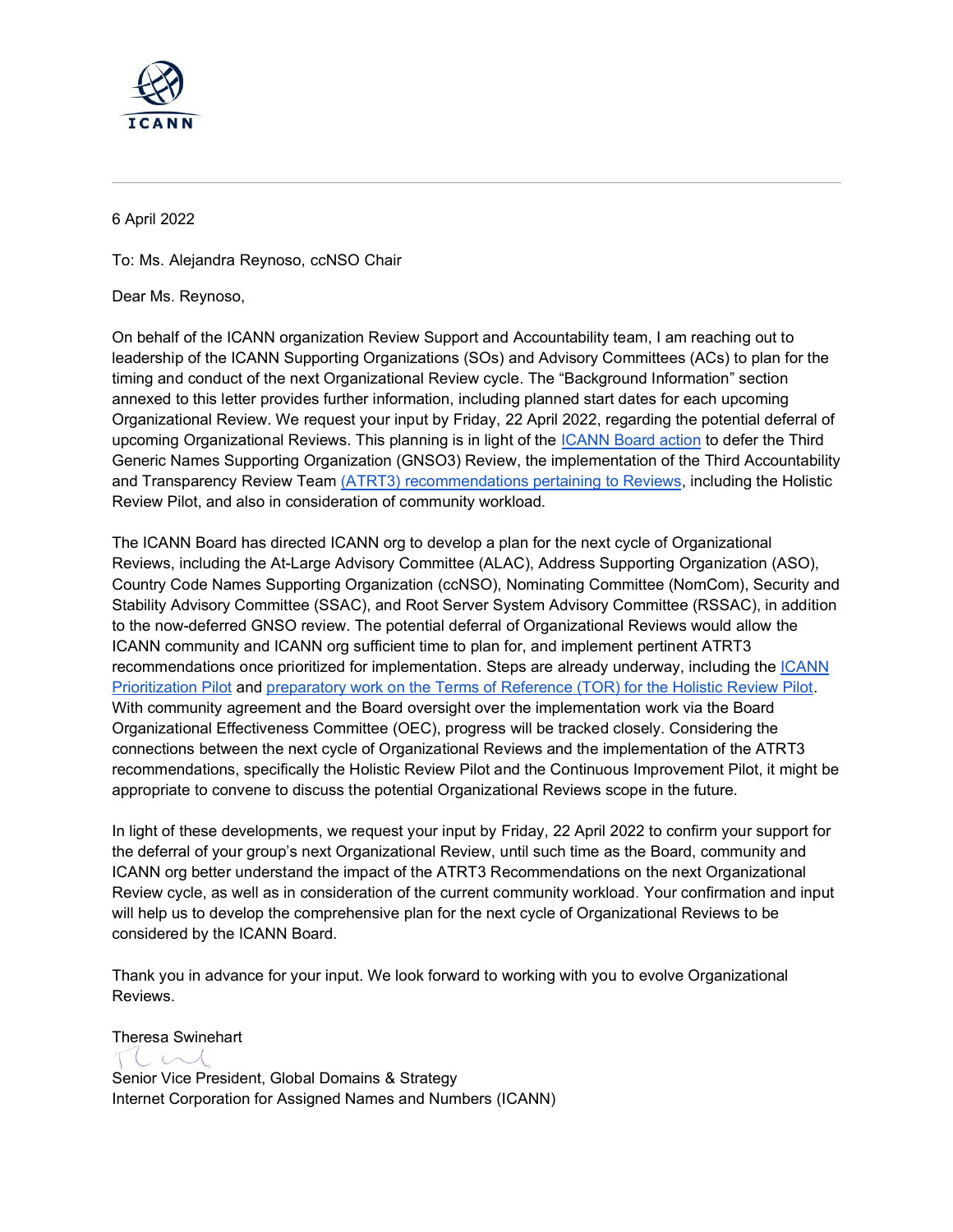

6 April 2022

To: Ms. Alejandra Reynoso, ccNSO Chair

Dear Ms. Reynoso,

On behalf of the ICANN organization Review Support and Accountability team, I am reaching out to leadership of the ICANN Supporting Organizations (SOs) and Advisory Committees (ACs) to plan for the timing and conduct of the next Organizational Review cycle. The "Background Information" section annexed to this letter provides further information, including planned start dates for each upcoming Organizational Review. We request your input by Friday, 22 April 2022, regarding the potential deferral of upcoming Organizational Reviews. This planning is in light of the [ICANN Board action](https://www.icann.org/resources/board-material/resolutions-2021-06-21-en#1.b) to defer the Third Generic Names Supporting Organization (GNSO3) Review, the implementation of the Third Accountability and Transparency Review Team [\(ATRT3\) recommendations pertaining to Reviews,](https://www.icann.org/en/system/files/files/atrt3-report-29may20-en.pdf) including the Holistic Review Pilot, and also in consideration of community workload.

The ICANN Board has directed ICANN org to develop a plan for the next cycle of Organizational Reviews, including the At-Large Advisory Committee (ALAC), Address Supporting Organization (ASO), Country Code Names Supporting Organization (ccNSO), Nominating Committee (NomCom), Security and Stability Advisory Committee (SSAC), and Root Server System Advisory Committee (RSSAC), in addition to the now-deferred GNSO review. The potential deferral of Organizational Reviews would allow the ICANN community and ICANN org sufficient time to plan for, and implement pertinent ATRT3 recommendations once prioritized for implementation. Steps are already underway, including the *CANN* [Prioritization Pilot](https://www.icann.org/en/blogs/details/now-published--icanns-draft-planning-prioritization-framework-02-03-2022-en) and [preparatory work on the Terms of Reference \(TOR\) for the Holistic Review Pilot.](https://www.icann.org/en/system/files/correspondence/doria-to-shepherds-02feb22-en.pdf) With community agreement and the Board oversight over the implementation work via the Board Organizational Effectiveness Committee (OEC), progress will be tracked closely. Considering the connections between the next cycle of Organizational Reviews and the implementation of the ATRT3 recommendations, specifically the Holistic Review Pilot and the Continuous Improvement Pilot, it might be appropriate to convene to discuss the potential Organizational Reviews scope in the future.

In light of these developments, we request your input by Friday, 22 April 2022 to confirm your support for the deferral of your group's next Organizational Review, until such time as the Board, community and ICANN org better understand the impact of the ATRT3 Recommendations on the next Organizational Review cycle, as well as in consideration of the current community workload. Your confirmation and input will help us to develop the comprehensive plan for the next cycle of Organizational Reviews to be considered by the ICANN Board.

Thank you in advance for your input. We look forward to working with you to evolve Organizational Reviews.

Theresa Swinehart

 $T$ l. coul

Senior Vice President, Global Domains & Strategy Internet Corporation for Assigned Names and Numbers (ICANN)